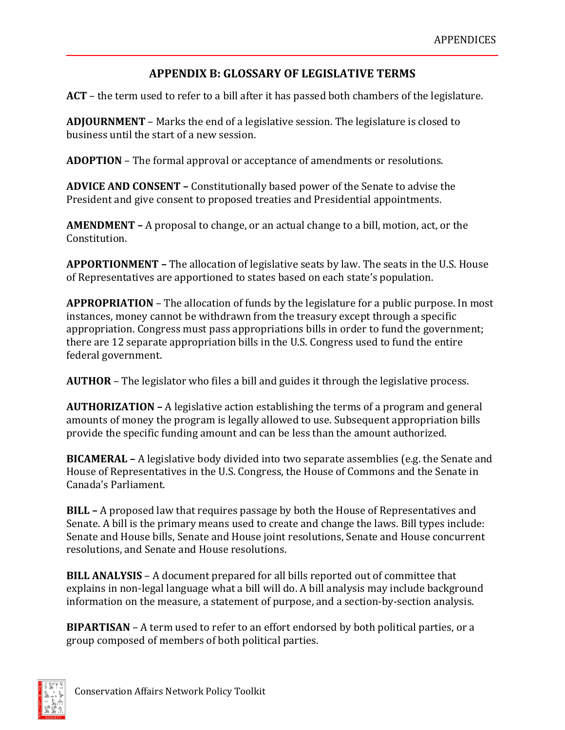## **APPENDIX B: GLOSSARY OF LEGISLATIVE TERMS**

**ACT** – the term used to refer to a bill after it has passed both chambers of the legislature.

**ADJOURNMENT** – Marks the end of a legislative session. The legislature is closed to business until the start of a new session.

**ADOPTION** – The formal approval or acceptance of amendments or resolutions.

**ADVICE AND CONSENT –** Constitutionally based power of the Senate to advise the President and give consent to proposed treaties and Presidential appointments.

**AMENDMENT –** A proposal to change, or an actual change to a bill, motion, act, or the Constitution.

**APPORTIONMENT –** The allocation of legislative seats by law. The seats in the U.S. House of Representatives are apportioned to states based on each state's population.

**APPROPRIATION** – The allocation of funds by the legislature for a public purpose. In most instances, money cannot be withdrawn from the treasury except through a specific appropriation. Congress must pass appropriations bills in order to fund the government; there are 12 separate appropriation bills in the U.S. Congress used to fund the entire federal government.

**AUTHOR** – The legislator who files a bill and guides it through the legislative process.

**AUTHORIZATION –** A legislative action establishing the terms of a program and general amounts of money the program is legally allowed to use. Subsequent appropriation bills provide the specific funding amount and can be less than the amount authorized.

**BICAMERAL –** A legislative body divided into two separate assemblies (e.g. the Senate and House of Representatives in the U.S. Congress, the House of Commons and the Senate in Canada's Parliament.

**BILL –** A proposed law that requires passage by both the House of Representatives and Senate. A bill is the primary means used to create and change the laws. Bill types include: Senate and House bills, Senate and House joint resolutions, Senate and House concurrent resolutions, and Senate and House resolutions.

**BILL ANALYSIS** – A document prepared for all bills reported out of committee that explains in non‐legal language what a bill will do. A bill analysis may include background information on the measure, a statement of purpose, and a section‐by‐section analysis.

**BIPARTISAN** – A term used to refer to an effort endorsed by both political parties, or a group composed of members of both political parties.

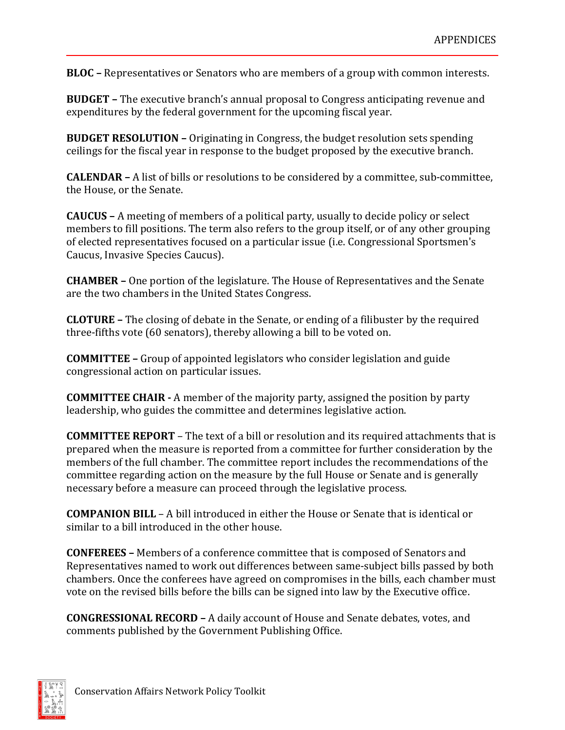**BLOC –** Representatives or Senators who are members of a group with common interests.

**BUDGET –** The executive branch's annual proposal to Congress anticipating revenue and expenditures by the federal government for the upcoming fiscal year.

**BUDGET RESOLUTION –** Originating in Congress, the budget resolution sets spending ceilings for the fiscal year in response to the budget proposed by the executive branch.

**CALENDAR –** A list of bills or resolutions to be considered by a committee, sub-committee, the House, or the Senate.

**CAUCUS –** A meeting of members of a political party, usually to decide policy or select members to fill positions. The term also refers to the group itself, or of any other grouping of elected representatives focused on a particular issue (i.e. Congressional Sportsmen's Caucus, Invasive Species Caucus).

**CHAMBER –** One portion of the legislature. The House of Representatives and the Senate are the two chambers in the United States Congress.

**CLOTURE –** The closing of debate in the Senate, or ending of a filibuster by the required three-fifths vote (60 senators), thereby allowing a bill to be voted on.

**COMMITTEE –** Group of appointed legislators who consider legislation and guide congressional action on particular issues.

**COMMITTEE CHAIR -** A member of the majority party, assigned the position by party leadership, who guides the committee and determines legislative action.

**COMMITTEE REPORT** – The text of a bill or resolution and its required attachments that is prepared when the measure is reported from a committee for further consideration by the members of the full chamber. The committee report includes the recommendations of the committee regarding action on the measure by the full House or Senate and is generally necessary before a measure can proceed through the legislative process.

**COMPANION BILL** – A bill introduced in either the House or Senate that is identical or similar to a bill introduced in the other house.

**CONFEREES –** Members of a conference committee that is composed of Senators and Representatives named to work out differences between same‐subject bills passed by both chambers. Once the conferees have agreed on compromises in the bills, each chamber must vote on the revised bills before the bills can be signed into law by the Executive office.

**CONGRESSIONAL RECORD –** A daily account of House and Senate debates, votes, and comments published by the Government Publishing Office.

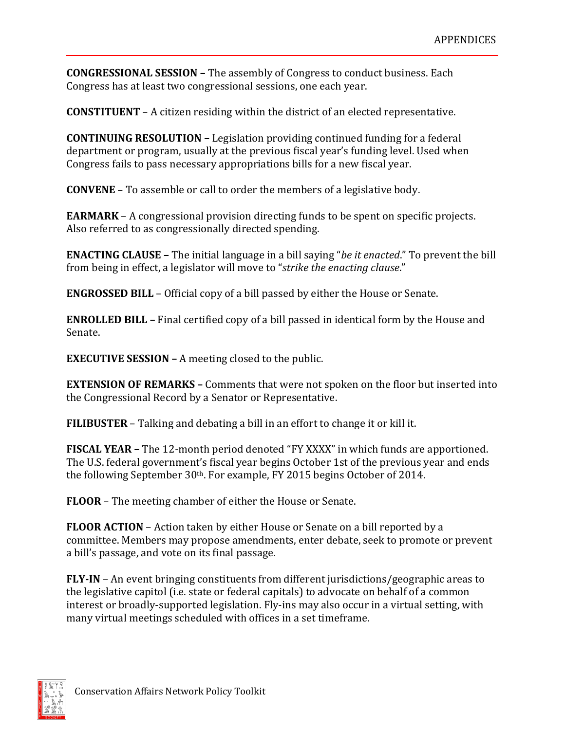**CONGRESSIONAL SESSION –** The assembly of Congress to conduct business. Each Congress has at least two congressional sessions, one each year.

**CONSTITUENT** – A citizen residing within the district of an elected representative.

**CONTINUING RESOLUTION –** Legislation providing continued funding for a federal department or program, usually at the previous fiscal year's funding level. Used when Congress fails to pass necessary appropriations bills for a new fiscal year.

**CONVENE** – To assemble or call to order the members of a legislative body.

**EARMARK** – A congressional provision directing funds to be spent on specific projects. Also referred to as congressionally directed spending.

**ENACTING CLAUSE –** The initial language in a bill saying "*be it enacted*." To prevent the bill from being in effect, a legislator will move to "*strike the enacting clause*."

**ENGROSSED BILL** – Official copy of a bill passed by either the House or Senate.

**ENROLLED BILL –** Final certified copy of a bill passed in identical form by the House and Senate.

**EXECUTIVE SESSION –** A meeting closed to the public.

**EXTENSION OF REMARKS –** Comments that were not spoken on the floor but inserted into the Congressional Record by a Senator or Representative.

**FILIBUSTER** – Talking and debating a bill in an effort to change it or kill it.

**FISCAL YEAR –** The 12-month period denoted "FY XXXX" in which funds are apportioned. The U.S. federal government's fiscal year begins October 1st of the previous year and ends the following September 30<sup>th</sup>. For example, FY 2015 begins October of 2014.

**FLOOR** – The meeting chamber of either the House or Senate.

**FLOOR ACTION** – Action taken by either House or Senate on a bill reported by a committee. Members may propose amendments, enter debate, seek to promote or prevent a bill's passage, and vote on its final passage.

**FLY-IN** – An event bringing constituents from different jurisdictions/geographic areas to the legislative capitol (i.e. state or federal capitals) to advocate on behalf of a common interest or broadly-supported legislation. Fly-ins may also occur in a virtual setting, with many virtual meetings scheduled with offices in a set timeframe.

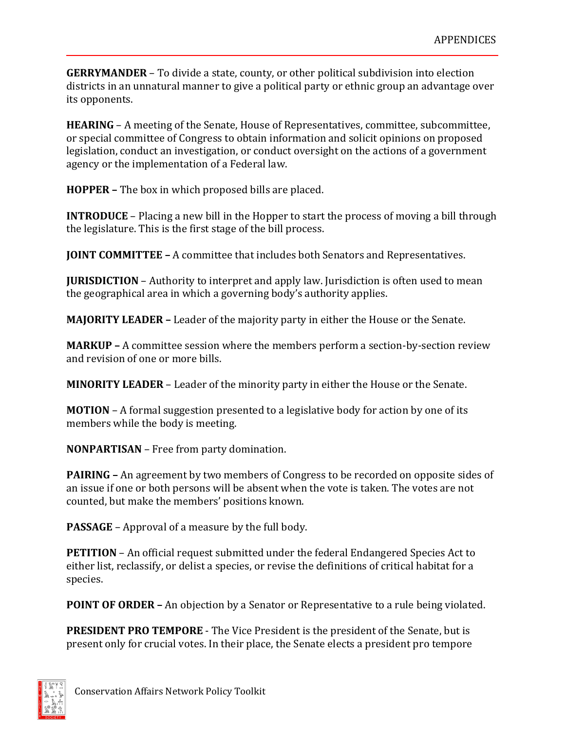**GERRYMANDER** – To divide a state, county, or other political subdivision into election districts in an unnatural manner to give a political party or ethnic group an advantage over its opponents.

**HEARING** – A meeting of the Senate, House of Representatives, committee, subcommittee, or special committee of Congress to obtain information and solicit opinions on proposed legislation, conduct an investigation, or conduct oversight on the actions of a government agency or the implementation of a Federal law.

**HOPPER –** The box in which proposed bills are placed.

**INTRODUCE** – Placing a new bill in the Hopper to start the process of moving a bill through the legislature. This is the first stage of the bill process.

**JOINT COMMITTEE –** A committee that includes both Senators and Representatives.

**JURISDICTION** – Authority to interpret and apply law. Jurisdiction is often used to mean the geographical area in which a governing body's authority applies.

**MAJORITY LEADER –** Leader of the majority party in either the House or the Senate.

**MARKUP** – A committee session where the members perform a section-by-section review and revision of one or more bills.

**MINORITY LEADER** – Leader of the minority party in either the House or the Senate.

**MOTION** – A formal suggestion presented to a legislative body for action by one of its members while the body is meeting.

**NONPARTISAN** – Free from party domination.

**PAIRING –** An agreement by two members of Congress to be recorded on opposite sides of an issue if one or both persons will be absent when the vote is taken. The votes are not counted, but make the members' positions known.

**PASSAGE** – Approval of a measure by the full body.

**PETITION** – An official request submitted under the federal Endangered Species Act to either list, reclassify, or delist a species, or revise the definitions of critical habitat for a species.

**POINT OF ORDER –** An objection by a Senator or Representative to a rule being violated.

**PRESIDENT PRO TEMPORE** ‐ The Vice President is the president of the Senate, but is present only for crucial votes. In their place, the Senate elects a president pro tempore

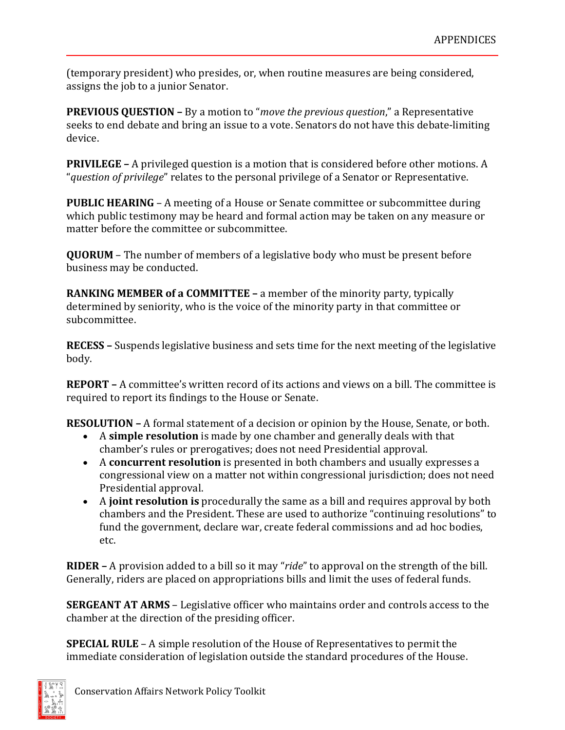(temporary president) who presides, or, when routine measures are being considered, assigns the job to a junior Senator.

**PREVIOUS QUESTION –** By a motion to "*move the previous question*," a Representative seeks to end debate and bring an issue to a vote. Senators do not have this debate‐limiting device.

**PRIVILEGE –** A privileged question is a motion that is considered before other motions. A "*question of privilege*" relates to the personal privilege of a Senator or Representative.

**PUBLIC HEARING - A meeting of a House or Senate committee or subcommittee during** which public testimony may be heard and formal action may be taken on any measure or matter before the committee or subcommittee.

**QUORUM** – The number of members of a legislative body who must be present before business may be conducted.

**RANKING MEMBER of a COMMITTEE –** a member of the minority party, typically determined by seniority, who is the voice of the minority party in that committee or subcommittee.

**RECESS –** Suspends legislative business and sets time for the next meeting of the legislative body.

**REPORT –** A committee's written record of its actions and views on a bill. The committee is required to report its findings to the House or Senate.

**RESOLUTION –** A formal statement of a decision or opinion by the House, Senate, or both.

- A **simple resolution** is made by one chamber and generally deals with that chamber's rules or prerogatives; does not need Presidential approval.
- A **concurrent resolution** is presented in both chambers and usually expresses a congressional view on a matter not within congressional jurisdiction; does not need Presidential approval.
- A **joint resolution is** procedurally the same as a bill and requires approval by both chambers and the President. These are used to authorize "continuing resolutions" to fund the government, declare war, create federal commissions and ad hoc bodies, etc.

**RIDER –** A provision added to a bill so it may "*ride*" to approval on the strength of the bill. Generally, riders are placed on appropriations bills and limit the uses of federal funds.

**SERGEANT AT ARMS** – Legislative officer who maintains order and controls access to the chamber at the direction of the presiding officer.

**SPECIAL RULE** – A simple resolution of the House of Representatives to permit the immediate consideration of legislation outside the standard procedures of the House.